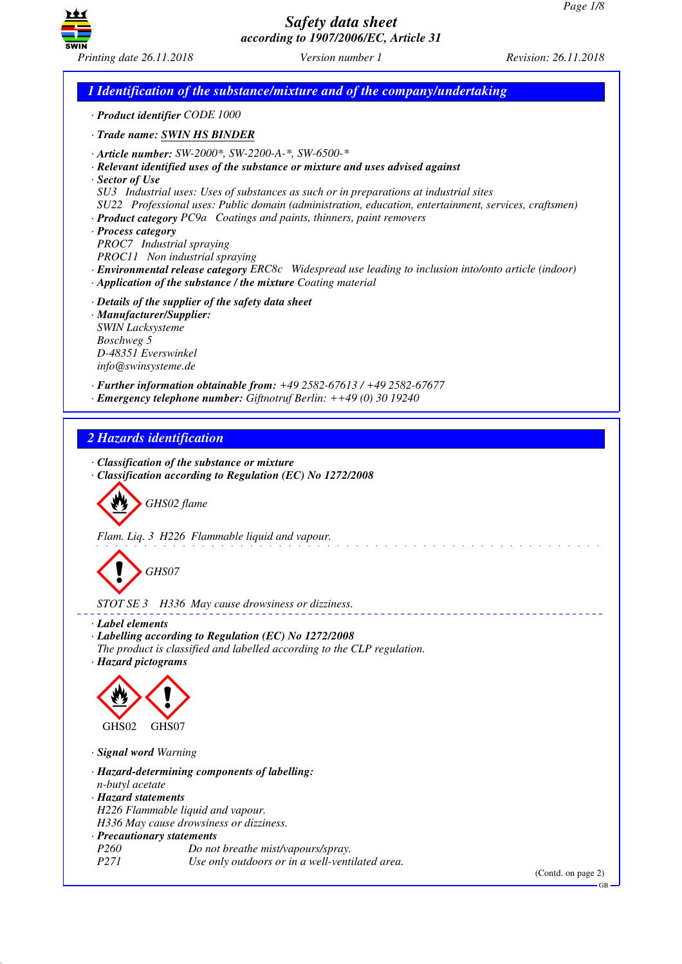

*1 Identification of the substance/mixture and of the company/undertaking · Product identifier CODE 1000 · Trade name: SWIN HS BINDER · Article number: SW-2000\*, SW-2200-A-\*, SW-6500-\* · Relevant identified uses of the substance or mixture and uses advised against · Sector of Use SU3 Industrial uses: Uses of substances as such or in preparations at industrial sites SU22 Professional uses: Public domain (administration, education, entertainment, services, craftsmen) · Product category PC9a Coatings and paints, thinners, paint removers · Process category PROC7 Industrial spraying PROC11 Non industrial spraying · Environmental release category ERC8c Widespread use leading to inclusion into/onto article (indoor) · Application of the substance / the mixture Coating material · Details of the supplier of the safety data sheet · Manufacturer/Supplier: SWIN Lacksysteme Boschweg 5 D-48351 Everswinkel info@swinsysteme.de · Further information obtainable from: +49 2582-67613 / +49 2582-67677 · Emergency telephone number: Giftnotruf Berlin: ++49 (0) 30 19240 2 Hazards identification · Classification of the substance or mixture · Classification according to Regulation (EC) No 1272/2008* d~*GHS02 flame Flam. Liq. 3 H226 Flammable liquid and vapour.* d~*GHS07 STOT SE 3 H336 May cause drowsiness or dizziness. · Label elements · Labelling according to Regulation (EC) No 1272/2008 The product is classified and labelled according to the CLP regulation. · Hazard pictograms* < GHS02  $\langle \cdot \rangle$ GHS07 *· Signal word Warning · Hazard-determining components of labelling: n-butyl acetate · Hazard statements H226 Flammable liquid and vapour. H336 May cause drowsiness or dizziness. · Precautionary statements Po not breathe mist/vapours/spray. P271 Use only outdoors or in a well-ventilated area.*

(Contd. on page 2) GB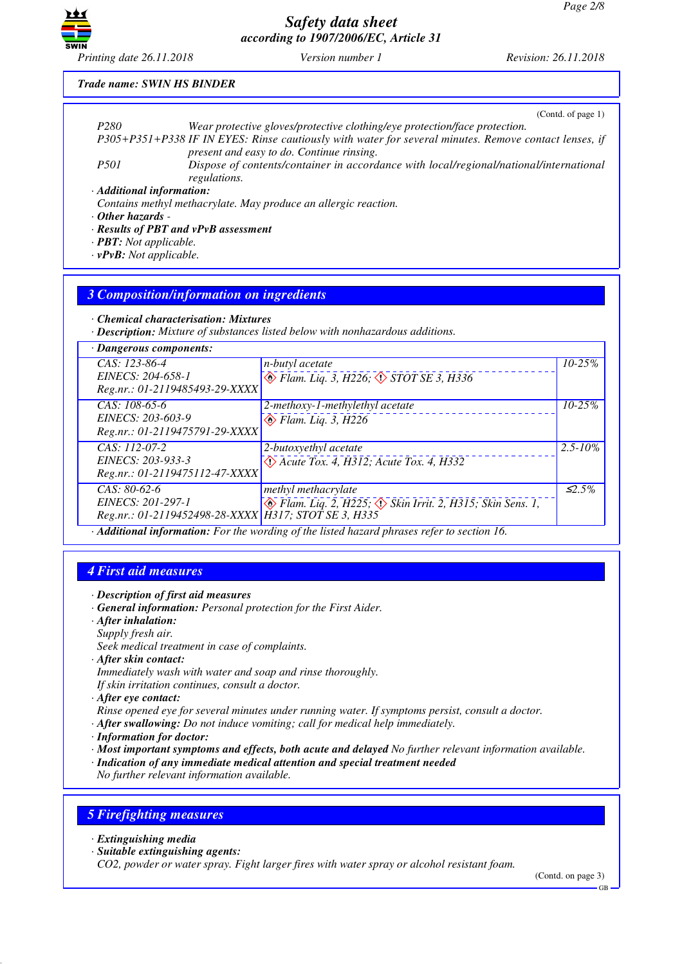

*Printing date 26.11.2018 Version number 1 Revision: 26.11.2018*

#### *Trade name: SWIN HS BINDER*

|                           | (Cond. of page 1)                                                                                      |
|---------------------------|--------------------------------------------------------------------------------------------------------|
| P <sub>280</sub>          | Wear protective gloves/protective clothing/eye protection/face protection.                             |
|                           | P305+P351+P338 IF IN EYES: Rinse cautiously with water for several minutes. Remove contact lenses, if  |
|                           | present and easy to do. Continue rinsing.                                                              |
| <i>P501</i>               | Dispose of contents/container in accordance with local/regional/national/international<br>regulations. |
| · Additional information: |                                                                                                        |
|                           | Contains methyl methacrylate. May produce an allergic reaction.                                        |
| . Other hazards           |                                                                                                        |

*· Other hazards -* 

- *· Results of PBT and vPvB assessment*
- *· PBT: Not applicable.*
- *· vPvB: Not applicable.*

#### *3 Composition/information on ingredients*

*· Chemical characterisation: Mixtures*

*· Description: Mixture of substances listed below with nonhazardous additions.*

| $\cdot$ Dangerous components:                                                               |                                                                                      |              |
|---------------------------------------------------------------------------------------------|--------------------------------------------------------------------------------------|--------------|
| CAS: 123-86-4<br>EINECS: 204-658-1<br>Reg.nr.: 01-2119485493-29-XXXX                        | n-butyl acetate<br>$\circledcirc$ Flam. Liq. 3, H226, $\circledcirc$ STOT SE 3, H336 | $10 - 25%$   |
| $CAS: 108-65-6$<br>EINECS: 203-603-9<br>Reg.nr.: 01-2119475791-29-XXXX                      | 2-methoxy-1-methylethyl acetate<br>$\bigotimes$ Flam. Liq. 3, H226                   | $10 - 25%$   |
| CAS: 112-07-2<br>EINECS: 203-933-3<br>Reg.nr.: 01-2119475112-47-XXXX                        | 2-butoxyethyl acetate<br>$\leftrightarrow$ Acute Tox. 4, H312; Acute Tox. 4, H332    | $2.5 - 10\%$ |
| $CAS: 80-62-6$<br>EINECS: 201-297-1<br>Reg.nr.: 01-2119452498-28-XXXX H317; STOT SE 3, H335 | methyl methacrylate<br>◈ Flam. Liq. 2, H225; ◇ Skin Irrit. 2, H315; Skin Sens. 1,    | $\leq 2.5\%$ |

*· Additional information: For the wording of the listed hazard phrases refer to section 16.*

#### *4 First aid measures*

*· Description of first aid measures*

- *· General information: Personal protection for the First Aider.*
- *· After inhalation: Supply fresh air.*
- *Seek medical treatment in case of complaints.*
- *· After skin contact:*
- *Immediately wash with water and soap and rinse thoroughly.*
- *If skin irritation continues, consult a doctor.*

*· After eye contact:*

*Rinse opened eye for several minutes under running water. If symptoms persist, consult a doctor.*

- *· After swallowing: Do not induce vomiting; call for medical help immediately.*
- *· Information for doctor:*
- *· Most important symptoms and effects, both acute and delayed No further relevant information available.*
- *· Indication of any immediate medical attention and special treatment needed*

*No further relevant information available.*

### *5 Firefighting measures*

- *· Extinguishing media*
- *· Suitable extinguishing agents:*

*CO2, powder or water spray. Fight larger fires with water spray or alcohol resistant foam.*

(Contd. on page 3)

GB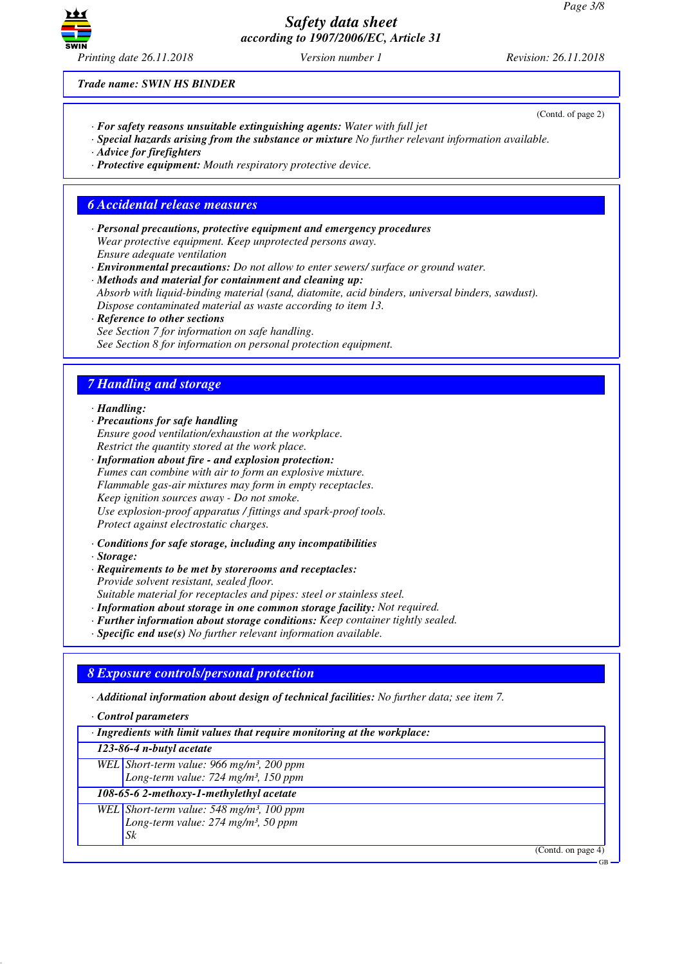

(Contd. of page 2)

*Trade name: SWIN HS BINDER*

- *· For safety reasons unsuitable extinguishing agents: Water with full jet*
- *· Special hazards arising from the substance or mixture No further relevant information available.*
- *· Advice for firefighters*
- *· Protective equipment: Mouth respiratory protective device.*

#### *6 Accidental release measures*

- *· Personal precautions, protective equipment and emergency procedures Wear protective equipment. Keep unprotected persons away. Ensure adequate ventilation*
- *· Environmental precautions: Do not allow to enter sewers/ surface or ground water.*
- *· Methods and material for containment and cleaning up: Absorb with liquid-binding material (sand, diatomite, acid binders, universal binders, sawdust). Dispose contaminated material as waste according to item 13.*
- *· Reference to other sections See Section 7 for information on safe handling. See Section 8 for information on personal protection equipment.*

### *7 Handling and storage*

*· Handling:*

- *· Precautions for safe handling Ensure good ventilation/exhaustion at the workplace. Restrict the quantity stored at the work place.*
- *· Information about fire and explosion protection: Fumes can combine with air to form an explosive mixture. Flammable gas-air mixtures may form in empty receptacles. Keep ignition sources away - Do not smoke. Use explosion-proof apparatus / fittings and spark-proof tools. Protect against electrostatic charges.*
- *· Conditions for safe storage, including any incompatibilities*
- *· Storage:*
- *· Requirements to be met by storerooms and receptacles: Provide solvent resistant, sealed floor.*

*Suitable material for receptacles and pipes: steel or stainless steel.*

*· Information about storage in one common storage facility: Not required.*

- *· Further information about storage conditions: Keep container tightly sealed.*
- *· Specific end use(s) No further relevant information available.*

## *8 Exposure controls/personal protection*

*· Additional information about design of technical facilities: No further data; see item 7.*

*· Control parameters*

| · Ingredients with limit values that require monitoring at the workplace:                                      |  |
|----------------------------------------------------------------------------------------------------------------|--|
| $123-86-4$ n-butyl acetate                                                                                     |  |
| WEL Short-term value: 966 mg/m <sup>3</sup> , 200 ppm<br>Long-term value: $724$ mg/m <sup>3</sup> , 150 ppm    |  |
| 108-65-6 2-methoxy-1-methylethyl acetate                                                                       |  |
| WEL Short-term value: 548 mg/m <sup>3</sup> , 100 ppm<br>Long-term value: 274 mg/m <sup>3</sup> , 50 ppm<br>Sk |  |
| (Contd. on page 4)                                                                                             |  |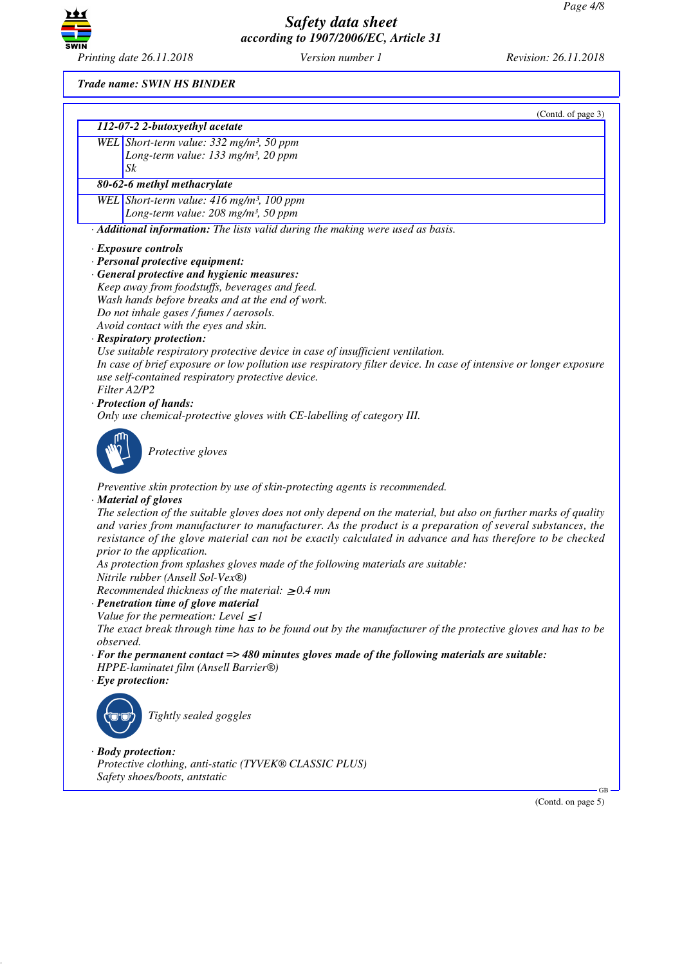

*Trade name: SWIN HS BINDER*

|           | (Contd. of page 3)                                                                                                |
|-----------|-------------------------------------------------------------------------------------------------------------------|
|           | 112-07-2 2-butoxyethyl acetate                                                                                    |
|           | WEL Short-term value: 332 mg/m <sup>3</sup> , 50 ppm                                                              |
|           | Long-term value: 133 mg/m <sup>3</sup> , 20 ppm<br>Sk                                                             |
|           | 80-62-6 methyl methacrylate                                                                                       |
|           | WEL Short-term value: $416$ mg/m <sup>3</sup> , 100 ppm                                                           |
|           | Long-term value: 208 mg/m <sup>3</sup> , 50 ppm                                                                   |
|           | · Additional information: The lists valid during the making were used as basis.                                   |
|           | · Exposure controls                                                                                               |
|           | · Personal protective equipment:                                                                                  |
|           | · General protective and hygienic measures:                                                                       |
|           | Keep away from foodstuffs, beverages and feed.<br>Wash hands before breaks and at the end of work.                |
|           | Do not inhale gases / fumes / aerosols.                                                                           |
|           | Avoid contact with the eyes and skin.                                                                             |
|           | · Respiratory protection:                                                                                         |
|           | Use suitable respiratory protective device in case of insufficient ventilation.                                   |
|           | In case of brief exposure or low pollution use respiratory filter device. In case of intensive or longer exposure |
|           | use self-contained respiratory protective device.                                                                 |
|           | Filter A2/P2<br>· Protection of hands:                                                                            |
|           | Only use chemical-protective gloves with CE-labelling of category III.                                            |
|           |                                                                                                                   |
|           | Protective gloves                                                                                                 |
|           |                                                                                                                   |
|           | Preventive skin protection by use of skin-protecting agents is recommended.                                       |
|           | · Material of gloves                                                                                              |
|           | The selection of the suitable gloves does not only depend on the material, but also on further marks of quality   |
|           | and varies from manufacturer to manufacturer. As the product is a preparation of several substances, the          |
|           | resistance of the glove material can not be exactly calculated in advance and has therefore to be checked         |
|           | prior to the application.<br>As protection from splashes gloves made of the following materials are suitable:     |
|           | Nitrile rubber (Ansell Sol-Vex®)                                                                                  |
|           | Recommended thickness of the material: $\geq 0.4$ mm                                                              |
|           | · Penetration time of glove material                                                                              |
|           | Value for the permeation: Level $\leq$ 1                                                                          |
|           | The exact break through time has to be found out by the manufacturer of the protective gloves and has to be       |
| observed. | $\cdot$ For the permanent contact => 480 minutes gloves made of the following materials are suitable:             |
|           | HPPE-laminatet film (Ansell Barrier®)                                                                             |
|           | $\cdot$ Eye protection:                                                                                           |
|           |                                                                                                                   |
|           | Tightly sealed goggles                                                                                            |
|           |                                                                                                                   |
|           |                                                                                                                   |
|           | $\cdot$ Body protection:                                                                                          |
|           | Protective clothing, anti-static (TYVEK® CLASSIC PLUS)                                                            |
|           | Safety shoes/boots, antstatic<br>GВ                                                                               |
|           | (Contd. on page 5)                                                                                                |
|           |                                                                                                                   |
|           |                                                                                                                   |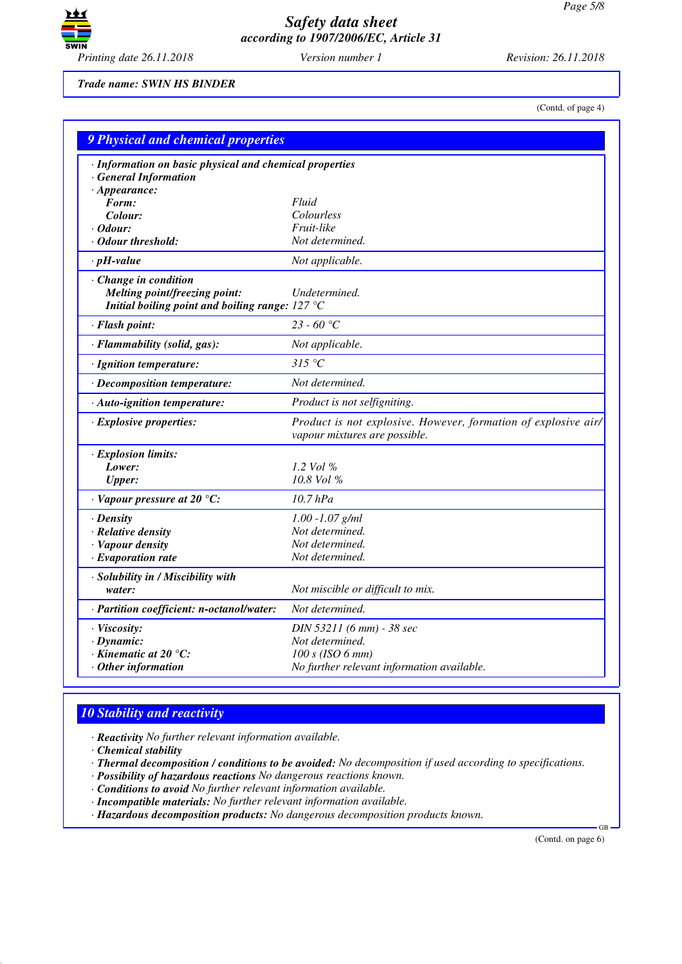

*Trade name: SWIN HS BINDER*

(Contd. of page 4)

| <b>9 Physical and chemical properties</b>                                        |                                                                                                 |
|----------------------------------------------------------------------------------|-------------------------------------------------------------------------------------------------|
| · Information on basic physical and chemical properties<br>· General Information |                                                                                                 |
| $\cdot$ Appearance:<br>Form:                                                     | Fluid                                                                                           |
| Colour:                                                                          | Colourless                                                                                      |
| $\cdot$ Odour:                                                                   | Fruit-like                                                                                      |
| · Odour threshold:                                                               | Not determined.                                                                                 |
| $\cdot$ pH-value                                                                 | Not applicable.                                                                                 |
| Change in condition                                                              |                                                                                                 |
| Melting point/freezing point:                                                    | Undetermined.                                                                                   |
| Initial boiling point and boiling range: $127^{\circ}$ C                         |                                                                                                 |
| · Flash point:                                                                   | 23 - 60 °C                                                                                      |
| $\cdot$ Flammability (solid, gas):                                               | Not applicable.                                                                                 |
| · Ignition temperature:                                                          | 315 °C                                                                                          |
| · Decomposition temperature:                                                     | Not determined.                                                                                 |
| · Auto-ignition temperature:                                                     | Product is not selfigniting.                                                                    |
| $\cdot$ Explosive properties:                                                    | Product is not explosive. However, formation of explosive air/<br>vapour mixtures are possible. |
| <b>Explosion limits:</b>                                                         |                                                                                                 |
| Lower:                                                                           | 1.2 Vol $%$                                                                                     |
| <b>Upper:</b>                                                                    | 10.8 Vol %                                                                                      |
| $\cdot$ Vapour pressure at 20 °C:                                                | $10.7$ $hPa$                                                                                    |
| $\cdot$ Density                                                                  | $1.00 - 1.07$ g/ml                                                                              |
| · Relative density                                                               | Not determined.                                                                                 |
| · Vapour density                                                                 | Not determined.                                                                                 |
| $\cdot$ Evaporation rate                                                         | Not determined.                                                                                 |
| · Solubility in / Miscibility with                                               |                                                                                                 |
| water:                                                                           | Not miscible or difficult to mix.                                                               |
| · Partition coefficient: n-octanol/water:                                        | Not determined.                                                                                 |
| · Viscosity:                                                                     | DIN 53211 (6 mm) - 38 sec                                                                       |
| $\cdot$ Dynamic:                                                                 | Not determined.                                                                                 |
| $\cdot$ Kinematic at 20 $\degree$ C:                                             | $100 s$ (ISO 6 mm)                                                                              |
| $·$ Other information                                                            | No further relevant information available.                                                      |

## *10 Stability and reactivity*

*· Reactivity No further relevant information available.*

*· Chemical stability*

*· Thermal decomposition / conditions to be avoided: No decomposition if used according to specifications.*

*· Possibility of hazardous reactions No dangerous reactions known.*

*· Conditions to avoid No further relevant information available.*

*· Incompatible materials: No further relevant information available.*

*· Hazardous decomposition products: No dangerous decomposition products known.*

(Contd. on page 6)

GB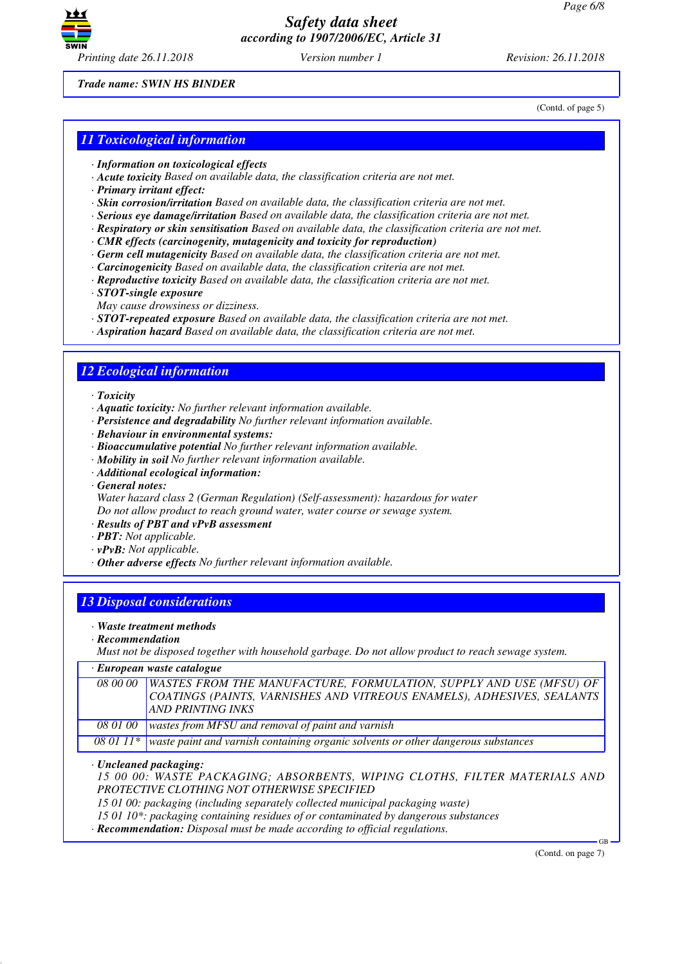

*Trade name: SWIN HS BINDER*

(Contd. of page 5)

#### *11 Toxicological information*

- *· Information on toxicological effects*
- *· Acute toxicity Based on available data, the classification criteria are not met.*
- *· Primary irritant effect:*
- *· Skin corrosion/irritation Based on available data, the classification criteria are not met.*
- *· Serious eye damage/irritation Based on available data, the classification criteria are not met.*
- *· Respiratory or skin sensitisation Based on available data, the classification criteria are not met.*
- *· CMR effects (carcinogenity, mutagenicity and toxicity for reproduction)*
- *· Germ cell mutagenicity Based on available data, the classification criteria are not met.*
- *· Carcinogenicity Based on available data, the classification criteria are not met.*
- *· Reproductive toxicity Based on available data, the classification criteria are not met.*
- *· STOT-single exposure*
- *May cause drowsiness or dizziness.*
- *· STOT-repeated exposure Based on available data, the classification criteria are not met.*
- *· Aspiration hazard Based on available data, the classification criteria are not met.*

#### *12 Ecological information*

- *· Toxicity*
- *· Aquatic toxicity: No further relevant information available.*
- *· Persistence and degradability No further relevant information available.*
- *· Behaviour in environmental systems:*
- *· Bioaccumulative potential No further relevant information available.*
- *· Mobility in soil No further relevant information available.*
- *· Additional ecological information:*
- *· General notes:*

*Water hazard class 2 (German Regulation) (Self-assessment): hazardous for water Do not allow product to reach ground water, water course or sewage system.*

- *· Results of PBT and vPvB assessment*
- *· PBT: Not applicable.*
- *· vPvB: Not applicable.*
- *· Other adverse effects No further relevant information available.*

# *13 Disposal considerations*

- *· Waste treatment methods*
- *· Recommendation*

*Must not be disposed together with household garbage. Do not allow product to reach sewage system.*

| · European waste catalogue |  |  |  |
|----------------------------|--|--|--|
|----------------------------|--|--|--|

|          | 08 00 00   WASTES FROM THE MANUFACTURE, FORMULATION, SUPPLY AND USE (MFSU) OF               |
|----------|---------------------------------------------------------------------------------------------|
|          | COATINGS (PAINTS, VARNISHES AND VITREOUS ENAMELS), ADHESIVES, SEALANTS                      |
|          | AND PRINTING INKS                                                                           |
| 08 01 00 | wastes from MFSU and removal of paint and varnish                                           |
|          | 08 01 11* waste paint and varnish containing organic solvents or other dangerous substances |

*· Uncleaned packaging:*

*15 00 00: WASTE PACKAGING; ABSORBENTS, WIPING CLOTHS, FILTER MATERIALS AND PROTECTIVE CLOTHING NOT OTHERWISE SPECIFIED*

*15 01 00: packaging (including separately collected municipal packaging waste)*

*15 01 10\*: packaging containing residues of or contaminated by dangerous substances*

*· Recommendation: Disposal must be made according to official regulations.*

(Contd. on page 7)

GB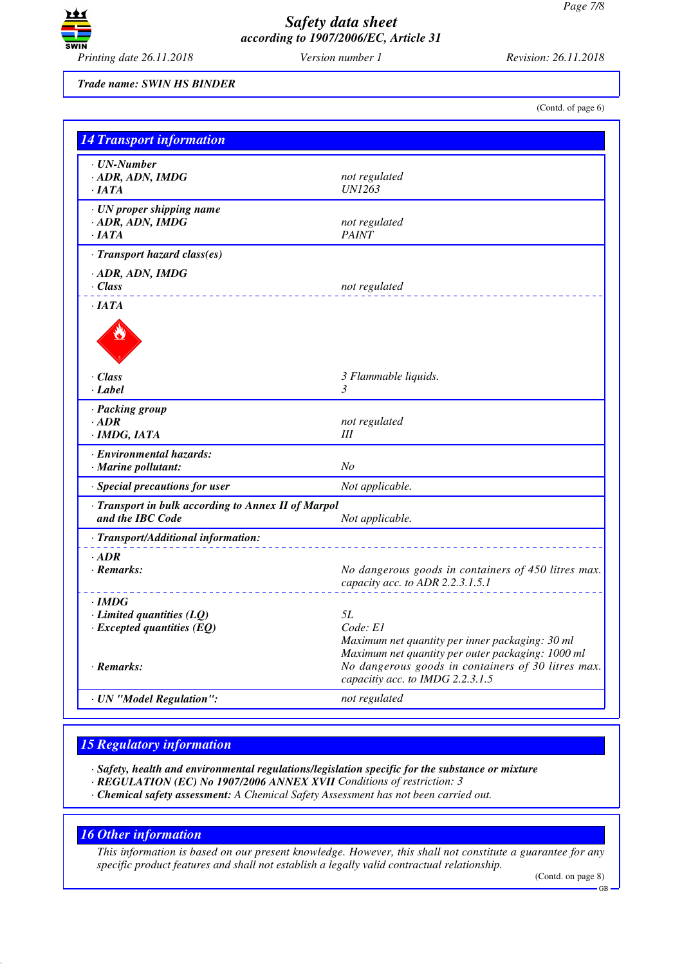

*Trade name: SWIN HS BINDER*

(Contd. of page 6)

| <b>14 Transport information</b>                                         |                                                                                                                  |
|-------------------------------------------------------------------------|------------------------------------------------------------------------------------------------------------------|
| · UN-Number<br>· ADR, ADN, IMDG<br>$\cdot$ IATA                         | not regulated<br><b>IN1263</b>                                                                                   |
| · UN proper shipping name<br>$-$ ADR, ADN, IMDG<br>$\cdot$ JATA         | not regulated<br><b>PAINT</b>                                                                                    |
| · Transport hazard class(es)                                            |                                                                                                                  |
| · ADR, ADN, IMDG<br>· Class                                             | not regulated                                                                                                    |
| $\cdot$ JATA                                                            |                                                                                                                  |
|                                                                         |                                                                                                                  |
| · Class                                                                 | 3 Flammable liquids.                                                                                             |
| · Label                                                                 | 3                                                                                                                |
| · Packing group<br>$\cdot$ ADR<br>· IMDG, IATA                          | not regulated<br>Ш                                                                                               |
|                                                                         |                                                                                                                  |
| · Environmental hazards:<br>· Marine pollutant:                         | N <sub>O</sub>                                                                                                   |
| Not applicable.<br>· Special precautions for user                       |                                                                                                                  |
| · Transport in bulk according to Annex II of Marpol<br>and the IBC Code | Not applicable.                                                                                                  |
| · Transport/Additional information:                                     |                                                                                                                  |
| $\cdot$ ADR<br>$\cdot$ Remarks:                                         | No dangerous goods in containers of 450 litres max.<br>capacity acc. to ADR 2.2.3.1.5.1                          |
| $\cdot$ IMDG                                                            |                                                                                                                  |
| $\cdot$ Limited quantities (LQ)                                         | 5L                                                                                                               |
| $\cdot$ Excepted quantities (EQ)                                        | Code: E1<br>Maximum net quantity per inner packaging: 30 ml<br>Maximum net quantity per outer packaging: 1000 ml |
| $\cdot$ Remarks:                                                        | No dangerous goods in containers of 30 litres max.<br>capacitiy acc. to IMDG 2.2.3.1.5                           |
| · UN "Model Regulation":                                                | not regulated                                                                                                    |

## *15 Regulatory information*

*· Safety, health and environmental regulations/legislation specific for the substance or mixture*

- *· REGULATION (EC) No 1907/2006 ANNEX XVII Conditions of restriction: 3*
- *· Chemical safety assessment: A Chemical Safety Assessment has not been carried out.*

## *16 Other information*

*This information is based on our present knowledge. However, this shall not constitute a guarantee for any specific product features and shall not establish a legally valid contractual relationship.*

(Contd. on page 8)

GB